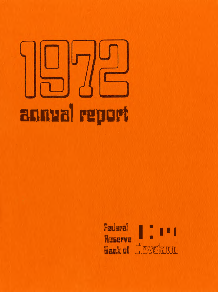# **annual report**

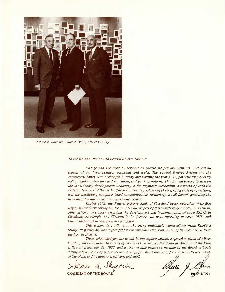

*Horace A. Shepard, Willis J. Winn, Albert* G. *Clay*

*To the Banks in the Fourth Federal Reserve District:*

*Change and the need to respond to change are primary elements in almost all aspects of our lives: political, economic and social. The Federal Reserve System and the commercial banks were challenged in many areas during the year* 1972, *particularly monetary policy, banking structure and regulation, and bank operations. This Annual Report focuses on the evolutionary developments underway in the payments mechanism-a concern of both the Federal Reserve and the banks. The ever increasing volume of checks, rising costs of operations, and the developing computer-based communications technology are all factors generating the movement toward an electronic payments system*

*During* 1972, *the Federal Reserve Bank of Cleveland began operation of its first Regional Check Processing Center in Columbus as part of this evolutionary process. In addition, other actions were taken regarding the development and implementation of other RCPCs in Cleveland, Pittsburgh, and Cincinnati; the former two were operating in early* 1973, *and Cincinnati will be in operation in early April.*

*This Report is a tribute to the many individuals whose efforts made RCPCs a reality. In particular, we are grateful for the assistance and cooperation of the member banks in the Fourth District.*

*These acknowledgements would be incomplete without a special mention of Albert* G. *Clay, who concluded five years of service as Chairman of the Board of Directors at the Main Office on December* 31, 1972, *and a total of nine years as a member of the Board. Albert's distinguished record of public service exemplifies the dedication of the Federal Reserve Bank* Office on December 31, 1972, and a total of nine years as a member of the Board. Albert's distinguished record of public service exemplifies the dedication of the Federal Reserve Bank of Cleveland and its directors, offic G. Clay, who concluded five years of service as Chairman of the Board of Directors at<br>Office on December 31, 1972, and a total of nine years as a member of the Board<br>distinguished record of public service exemplifies the d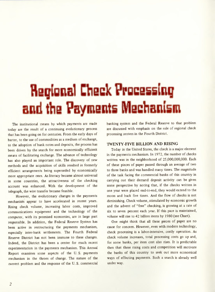# egional Check Processing and the Yayments Wesha

The institutional means by which payments are made today are the result of a continuing evolutionary process that has been going on for centuries. From the early days of barter, to the use of commodities as a medium of exchange, to the adoption of bank notes and deposits, the process has been driven by the search for more economically efficient means of facilitating exchange. The advance of technology has also played an important role. The discovery of new methods and the acquisition of skills resulted in formerly efficient arrangements being superseded by economically more appropriate ones. As literacy became almost universal in some countries, the attractiveness of the checking account was enhanced. With the development of the telegraph, the wire transfer became feasible.

However, the evolutionary changes in the payments mechanism appear to have accelerated in recent years. Rising check volume, increasing labor costs, improved communications equipment and the technology of the computer, with its promised economies, are in large part responsible. In addition, the Federal Reserve System has been active in restructuring the payments mechanism, especially inter-bank settlements. The Fourth Federal Reserve District has not been immune to these changes. Indeed, the District has been a center for much recent experimentation in the payments mechanism. This Annual Report examines some aspects of the U. S. payments mechanism in the throes of change. The nature of the current problem and the response of the U. S. commercial banking system and the Federal Reserve to that problem are discussed with emphasis on the role of regional check processing centers in the Fourth District.

### **TWENTY-FIVE BILLION AND RISING**

Today in the United States, the check is a major element in the payments mechanism. In 1972, the number of checks written was in the neighborhood of 25,000,000,000. Each of these pieces of paper passed through an average of two to three banks and was handled many times. The magnitude of the task facing the commercial banks of this country in carrying out their demand deposit activity can be given some perspective by noting that, if the checks written in one year were placed end-to-end, they would extend to the moon and back five times. And the flow of checks is not diminishing. Check volume, stimulated by economic growth and the advent of "free" checking, is growing at a rate of six to seven percent each year. If this pace is maintained, volume will rise to 42 billion items by 1980 (see Chart).

One might think that all these pieces of paper are no cause for concern. However, even with modern technology, check processing is a labor-intensive, costly operation. As check volume increases, total processing costs go up and, for some banks, per item cost also rises. It is predictable then that these rising costs and competition will motivate the banks of this country to seek out more economical ways of effecting payments. Such a search is already well under way.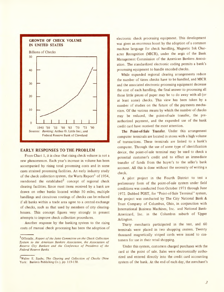

### **EARLY RESPONSES TO THE PROBLEM**

From Chart 1, it is clear that rising check volume is not a new phenomenon. Each year's increase in volume has been accompanied by rising total processing costs and in some cases strained processing facilities. An early industry study of the check collection system, the Wurts Report<sup>1</sup> of 1954, reendorsed the established<sup>2</sup> concept of regional check clearing facilities. Since most items received by a bank are drawn on other banks located within 50 miles, multiple handlings and circuitous routings of checks can be reduced if all banks within a trade area agree to a central exchange of checks, such as that used by members of city clearinghouses. This concept figures very strongly in present attempts to improve check collection procedures.

Another response by the banking system to the rising costs of manual check processing has been the adoption of electronic check processing equipment. This development was given an enormous boost by the adoption of a common machine language for check handling, Magnetic Ink Character Recognition (MICR), under the aegis of the Bank Management Commission of the American Bankers Association. The standardized electronic coding permits a bank's processing equipment to handle encoded checks.

While expanded regional clearing arrangements reduce the number of times checks have to be handled, and MICR and the associated electronic processing equipment decrease the cost of each handling, the final answer to processing all those little pieces of paper may be to do away with all (or at least some) checks. This view has been taken by a number of studies on the future of the payments mechanism. Of the various means by which the number of checks may be reduced, the point-of-sale transfer, the preauthorized payment, and the expanded use of the bank credit card have received the most attention.

The Point-of-Sale Transfer. Under this arrangement computer terminals are located in stores with a high volume of transactions. These terminals are linked to a bank's computer. Through the use of some type of identification device, the point-of-sale terminal may be used to check a potential customer's credit and to effect an immediate transfer of funds from the buyer's to the seller's bank account. All this is done without the necessity of writing a check.

A pilot project in the Fourth District to test a preliminary form of the point-of-sale system under field conditions was conducted from October 1971 through June 1972. Dubbed POST, for "Point-of-Sale Terminal" system, the project was conducted by The City National Bank & Trust Company of Columbus, Ohio, in conjunction with International Business Machines, Inc. and National Bank-Americard, Inc. in the Columbus suburb of Upper Arlington.

Thirty merchants participated in the test, and 60 terminals were placed in two shopping centers. Twenty thousand magnetically striped cards were issued to customers for use in their retail shopping.

Under this system, customers charged purchases with the card at the point of sale. Sales were electronically authorized and entered directly into the credit card accounting system of the bank. At the end of each day, the merchant's

<sup>1</sup>Officially , *Report of the Joint Committee on the Check Collection System to the American Bankers Association, the Association of Reserve City Bankers and the Conference of Presidents of the Federal Reserve Banks.*

<sup>2</sup>Walter E. Spahr, *The Clearing and Collection of Checks* (New York: Bankers Publishing Co.), pp. 119-130.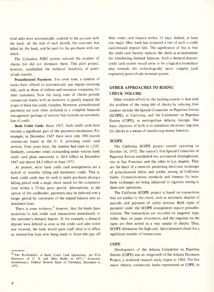total sales were automatically credited to his account with the bank. At the end of each month, the customer was billed by the bank, and he paid for his purchases with one check.

The Columbus POST system reduced the number of checks but did not eliminate them. This pilot project, however, established the technical feasibility of pointof-sale transfer.

Preauthorized Payments. For some time, a number of banks have offered to automatically pay regular recurring bills, such as those of utilities and insurance companies, for their customers. Now the rising costs of checks provide commercial banks with an incentive to greatly expand the scope of these less costly transfers. Moreover, preauthorized payments are now often included in a complete financial management package of services that includes an automatic line of credit.

Bank Credit Cards. Since 1967, bank credit cards have become a significant part of the payments mechanism. For example, in December 1967 there were only 390 insured commercial banks in the U. S. providing credit card services. Four years later, the number had risen to 1,535. Similarly, consumer credit outstanding under various bank credit card plans amounted to \$0.8 billion in December 1967 and almost \$4.5 billion in June 1972.

At present, most bank credit card arrangements are a hybrid of monthly billing and instalment credit. That is, bank credit cards may be used to make purchases during a billing period with a single check issued for the cumulative total within a 25-day grace period. Alternatively, at the option of the cardholder, payments may be deferred over a longer period by conversion of the unpaid balance into an instalment loan.

There is some evidence.<sup>3</sup> however, that the banks have incentives to link credit card transactions immediately to the customer's demand deposit. If, for example, a demand deposit were debited as soon as the credit card sales ticket was received, the bank would spare itself what is in effect an interest-free loan now being made to those who payoff their credit card balance within 25 days. Indeed, at least one major Ohio bank has proposed a test of such a credit card-demand deposit link. The significance of this is that the credit card thereby replaces the check as an instrument for transferring demand balances. Such a demand depositcredit card system would seem to be a logical intermediate step towards the technologically more complex (and expensive) point-of-sale terminal system.

### **OTHER APPROACHES TO RISING CHECK VOLUME**

Other notable efforts by the banking system to deal with the problem of the rising tide of checks by reducing their number include the Special Committee on Paperless Entries (SCOPE), in California, and the Committee on Paperless Entries (COPE), in metropolitan Atlanta, Georgia. One basic objective of both is to substitute electronic impulses for checks as a means of transferring money balances.

### **SCOPE**

The California SCOPE project started operating on October 16, 1972. The nation's first Special Committee on Paperless Entries established two automated clearinghouses, one in San Francisco and the other in Los Angeles. They are the heart of a network permitting electronic exchanges of preauthorized debits and credits among all California banks. Communications standards and formats for interbank exchanges are being subjected to rigorous testing in these new operations.

The California SCOPE project is based on transactions that are similar to the check, such as automatic deposit of payrolls and payment of utility services. Both types of payment under the SCOPE arrangement require preauthorization. The transactions are recorded on magnetic tape, rather than on paper documents, and the impulses on the tapes are then sorted in a way similar to checks. Thus, SCOPE eliminates the high-cost, labor-intensive check for a significant number of transactions.

### **COPE**

Development of the Atlanta Committee on Paperless Entries (COPE) was an outgrowth of the Atlanta Payments Project, a technical research study begun in 1969. The five major Atlanta commercial banks represented on COPE, in

<sup>3&</sup>lt;sup>a</sup>The Profitability of Bank Credit Card Operations: An FCA Summary of U. S. and Ohio Banks in 1971," *Economic Commentary,* Federal Reserve Bank of Cleveland, December 4, 1972.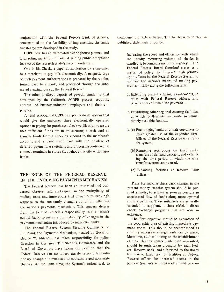conjunction with the Federal Reserve Bank of Atlanta, concentrated on the feasibility of implementing the funds transfer system developed in the study.

COPE now has an automated clearinghouse planned and is directing marketing efforts at gaining public acceptance for two of the research study's recommendations.

One is Bill-Check, a paper authorization by a customer to a merchant to pay bills electronically. A magnetic tape of such payment authorizations is prepared by the retailer, turned over to a bank, and processed through the automated clearinghouse at the Federal Reserve.

The other is direct deposit of payroll, similar to that developed by the California SCOPE project, requiring approval of business-industrial employers and their employees.

A final proposal of COPE is a point-of-sale system that would give the customer three electronically operated options in paying for purchases: check verification to assure that sufficient funds are in an account; a cash card to transfer funds from a checking account to the merchant's account; and a bank credit card with the privilege of deferred payment. A switching and processing center would connect terminals in stores throughout the city with major banks.

### **THE ROLE OF THE FEDERAL RESERVE IN THE EVOLVING PAYMENTS MECHANISM**

The Federal Reserve has been an interested and concerned observer and participant in the multiplicity of studies, tests, and innovations that characterize banking's response to the constantly changing conditions affecting the nation's payments mechanism. This concern derives from the Federal Reserve's responsibility as the nation's central bank to insure a compatability of changes in the payments mechanism introduced by individual banks.

The Federal Reserve System Steering Committee on Improving the Payments Mechanism, headed by Governor George W. Mitchell, has taken responsibility for policy direction in this area. The Steering Committee and the Board of Governors have taken the position that the Federal Reserve can no longer merely respond to evolutionary change but must act to coordinate and accelerate changes. At the same time, the System's actions seek to

complement private initiative. This has been made clear in published statements of policy:

> Increasing the speed and efficiency with which the rapidly mounting volume of checks is handled is becoming a matter of urgency.... The Federal Reserve Board therefore' states as a matter of policy that it places high priority upon efforts by the Federal Reserve System to improve the nation's means of making payments, initially along the following lines:

- 1. Extending present clearing arrangements, in cities with Federal Reserve offices, into larger zones of immediate payment....
- 2. Establishing other regional clearing facilities, in which settlements are made in immediately available funds....
- 3. (a) Encouraging banks and their customers to make greater use of the expanded capabilities of the Federal Reserve wire transfer system.
	- (b) Removing restrictions on third party transfers of demand deposits, and extending the time period in which the wire transfer system can be used.
	- (c) Expanding facilities at .Reserve Bank offices ...

Plans for making these basic changes in the present money transfer system should be pursued actively, to achieve as soon as possible an accelerated flow of funds along more optimal routing patterns. These initiatives are generally intended to supplement those efficient direct check exchange programs that are now in existence.

The first objective should be expansion of the geographic area of existing immediate payment zones. This should be accomplished as soon as necessary arrangements can be made. Meantime, studies looking to the establishment of new clearing centers, wherever warranted, should be undertaken promptly by each Federal Reserve Bank, and submitted to the Board for review. Expansion of facilities at Federal Reserve offices for increased access to the Reserve System's wire network should be con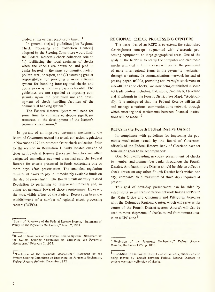cluded at the earliest practicable time....<sup>4</sup>

In general, the [se] giudelines [for Regional Check Processing and Collection Centers] adopted by the Steering Committee would limit the Federal Reserve's check collection role to (1) facilitating the local exchange of checks when the checks are drawn on and paid to banks located in the same community, metropolitan area, or region, and (2) assuming greater responsibility for providing a more efficient system for handling inter-regional checks and doing so on as uniform a basis as feasible. The guidelines are not regarded as imposing constraints upon the continued use and development of check handling facilities of the commercial banking system.<sup>5</sup>

The Federal Reserve System will need for some time to continue to devote significant resources to the development of the Nation's payments mechanism.<sup>6</sup>

In pursuit of an improved payments mechanism, the Board of Governors revised its check collection regulations in November 1972 to promote faster check collection. Prior to the revision in Regulation **J,** banks located outside of cities with Federal Reserve Banks and branches and other designated immediate payment areas had paid the Federal Reserve for checks presented in funds collectable one or more days after presentation. The amended regulation requires all banks to pay in immediately available funds on the day of presentment. The Board simultaneously revised Regula tion D pertaining to reserve requirements and, in doing so, generally lowered those requirements. However, the most visible effort of the Federal Reserve has been the establishment of a number of regional check processing centers (RCPCs).

### **REGIONAL CHECK PROCESSING CENTERS**

The basic idea of an RCPC is to extend the established clearinghouse concept, augmented with electronic processing equipment, to large geographical areas. One of the goals of the RCPC is to set up the computer and electronic mechanism that in future years will permit the processing of more inter-regional items in the payments mechanism through a nationwide communications network instead of passing paper. RCPCs, providing for overnight settlement of intra-RCPC zone checks, are now being established in some 40 trade centers including Columbus, Cincinnati, Cleveland and Pittsburgh in the Fourth District (see Map). "Additionally, it is anticipated that the Federal Reserve will install and manage a national communications network through which inter-regional settlements between financial institutions will be made."<sup>7</sup>

### **RCPCs in the Fourth Federal** Reserve **District**

In compliance with guidelines for improving the payments mechanism issued by the Board of Governors, officials of the Federal Reserve Bank of Cleveland have set four major goals to be accomplished:

Goal No. I-Providing next-day presentment of checks to member and nonmember banks throughout the Fourth District. Any bank in the District should be able to collect a check drawn on any other Fourth District bank within one day, compared to a maximum of three days required at present.

This goal of next-day presentment can be aided by establishing an air transportation network linking RCPCs in the Main Office and Cincinnati and Pittsburgh branches with the Columbus Regional Center, which will serve as the center of the Fourth District system. Aircraft will also be used to move shipments of checks to and from remote areas in an RCPC zone.<sup>8</sup>

<sup>&</sup>lt;sup>4</sup>Board of Governors of the Federal Reserve System, "Statement of Policy on the Payments Mechanism," June 17, 1971.

<sup>5</sup>Board of Governors of the Federal Reserve System, "Statement by the System Steering Committee on Improving the Payments Mechanism," February 2, 1972.

<sup>6.</sup> Evolution of the Payments Mechanism." Statement by the System Steering Committee on Improving the Payments Mechanism, *Federal Reserve Bulletin,* December 1972.

<sup>7&</sup>quot;Evolution of the Payments Mechanism," *Federal Reserve Bulletin,* December 1972, p. 1010.

 $8<sub>In</sub>$  addition to the Fourth District aircraft network, checks are also being moved by aircraft between Federal Reserve Districts to achieve overnight collection of checks.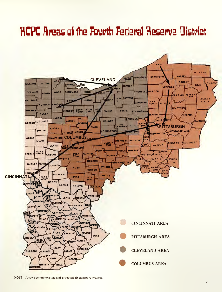# **RCPC Areas of the Fourth Federal Reserve District**



NOTE: Arrows denote existing and proposed air transport network.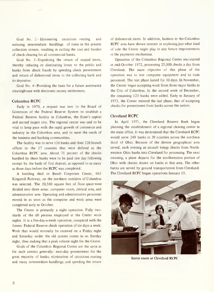Goal No. 2- Eliminating circuitous routing and reducing intermediate handlings of items in the present collection stream, resulting in cutting the cost and burden of check clearing for all commercial banks.

Goal No.3-Expediting the return of unpaid items, thereby reducing or eliminating losses to the public and banks from check frauds by speeding check presentment and return of dishonored items to the collecting bank and its depositor.

Goal No.4-Providing the basis for a future automated clearinghouse with electronic money settlements.

### **Columbus RCPC**

Early in 1970, a request was sent to the Board of Governors of the Federal Reserve System to establish a Federal Reserve facility in Columbus, the State's capital and second largest city. The regional center was said to be vital to keep pace with the rapid growth of commerce and industry in the Columbus area, and to meet the needs of the business and banking communities.

The facility was to serve 126 banks and their 220 branch offices in the 27 counties that were defined as the Columbus RCPC area. About 71 percent of the checks handled by these banks were to be paid one day following receipt by the bank of first deposit, as opposed to as many as three days before the RCPC was completed.

A building shell in Busch Corporate Center, 965 Kingsmill Parkway, on the northern outskirts of Columbus was selected. The 20,500 square feet of floor space were divided into three areas: computer room, clerical area, and administrative area. Operating and administrative personnel moved 'in as soon as the computer and work areas were completed early in October.

The Center is primarily a night operation. Fully twothirds of the 60 persons employed at the Center work nights. It is a five-day-a-week operation, compared with the former Federal Reserve check operation of six days a week. Work that would normally be received on a Friday night and Saturday under the old system comes in on Sunday night, thus making that a peak volume night for the Center.

Goals of the Columbus Regional Center are the same as for such centers generally: next-day presentment for the great majority of banks; elimination of circuitous routing and many intermediate handlings; and speeding the return

of dishonored items. In addition, bankers in the Columbus RCPC area have shown interest in exploring just what kind of role the Center might play in any future improvements in the payments mechanism.

Operation of the Columbus Regional Center was started in mid-October 1972, processing 25,000 checks a day from Cleveland. The main objective of this phase of the operation was to test computer equipment and to train personnel. The test phase lasted for 30 days. In November, the Center began accepting work from three major banks in the City of Columbus. In the second week of December, the remaining 123 banks were added. Early in January of 1973, the Center entered the last phase, that of accepting checks for presentment from banks across the nation.

### Cleveland **RCPC**

In April 1971, the Cleveland Reserve Bank began planning the establishment of a regional clearing center in the main office. It was determined that the Cleveland RCPC would serve 249 banks in 39 counties across the northern third of Ohio. Because of the diverse geographical area served, each evening an aircraft brings checks from Northwestern Ohio banks into Cleveland for processing. The next morning, a plane departs for the northwestern portion of Ohio with checks drawn on banks in that area. The other banks are served by ground transportation from Cleveland. The Cleveland RCPC began operations January 15.



Sorter room at Cleveland RCPC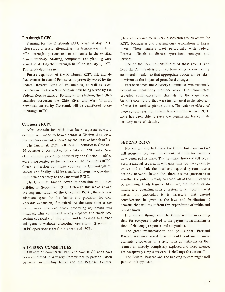### **Pittsburgh RCPC**

Planning for the Pittsburgh RCPC began in May 1971. After study of several alternatives, the decision was made to offer overnight presentment to all banks in the existing branch territory. Staffing, equipment, and planning were geared to starting the Pittsburgh RCPC on January 2, 1973. This target date was met.

Future expansion of the Pittsburgh RCPC will include five counties in central Pennsylvania presently served by the Federal Reserve Bank of Philadelphia, as well as seven counties in Northern West Virginia now being served by the Federal Reserve Bank of Richmond. In addition, three Ohio counties bordering the Ohio River and West Virginia, previously served by Cleveland, will be transferred to the Pittsburgh RCPC.

### **Cincinnati RCPC**

After consultation with area bank representatives, a decision was made to have a center at Cincinnati to cover the territory currently served by the Reserve branch office.

The Cincinnati RCPC will serve 19 counties in Ohio and 56 counties in Kentucky, for a total of 270 banks. Nine Ohio counties previously serviced by the Cincinnati office were incorporated in the territory of the Columbus RCPC. Check collection for three counties in Ohio-Auglaize, Mercer and Shelby-will be transferred from the Cleveland main office territory to the Cincinnati RCPC.

The Cincinnati branch moved its operations into a new building in September 1972. Although this move slowed the implementation of the Cincinnati RCPC, there is now adequate space for the facility and provision for considerable expansion, if required. At the same time as the move, more advanced check processing equipment was installed. This equipment greatly expands the check processing capability of this office and lends itself to further enlargement without disrupting operations. Start-up of RCPC operations is set for late spring of 1973.

### **ADVISORY COMMITTEES**

Officers of commercial banks in each RCPC zone have been appointed to Advisory Committees to provide liaison between participating banks and the Regional Centers.

They were chosen by bankers' association groups within the RCPC boundaries and clearinghouse associations in larger towns. These bankers meet periodically with Federal Reserve officials to discuss operations, concepts, and services.

One of the main responsibilities of these groups is to keep the Centers advised on problems being experienced by commercial banks, so that appropriate action can be taken to minimize the impact of procedural changes.

Feedback from the Advisory Committees was extremely helpful in identifying problem areas. The Committees provided communications channels to the commercial banking community that were instrumental in the selection of sites for satellite pickup points. Through the efforts of these committees, the Federal Reserve office in each RCPC zone has been able to serve the commercial banks in its territory more efficiently.

### **BEYOND RCPCs**

No one can clearly foresee the future, but a system that will subsitute electronic movements of funds for checks is now being put in place. The transition however will be, at best, a gradual process. It will take time for the system to evolve and to link the local and regional systems into a national network. In addition, there is some question as to whether the public is ready to accept all of the implications of electronic funds transfer. Moreover, the cost of establishing and operating such a system is far from a trivial matter. In particular, it is necessary that careful consideration be given to the level and distribution of benefits that will result from this expenditure of public and private funds.

It is certain though that the future will be an exciting time for everyone involved in the payments mechanism-a time of challenge, response, and adaptation.

The great mathematician and philosopher, Bertrand Russell, was once asked how he could continue to make drama tic discoveries in a field such as ma therna tics that seemed an already completely explored and fixed science. His deceptively simple answer: "I challenge the axioms."

The Federal Reserve and the banking system might well ponder this approach.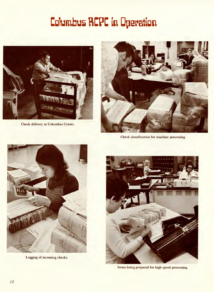# **Columbus RCPC in Operation**



Check delivery at Columbus Center.



Check classification for machine processing.



Logging of incoming checks.



Items being prepared for high speed processing.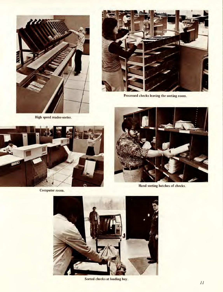



Processed checks leaving the sorting room.

High speed reader-sorter.



Computer room.



Hand sorting batches of checks.



Sorted checks at loading bay.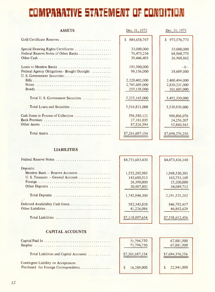# COMPARATIVE STATEMENT OF CONDITION

| <b>ASSETS</b>                                | Dec. 31, 1972     | Dec. 31, 1971                 |
|----------------------------------------------|-------------------|-------------------------------|
| Gold Certificate Reserves                    | 884,658,767<br>\$ | $\mathbb{S}$<br>973, 576, 773 |
| Special Drawing Rights Certificates          | 33,000,000        | 33,000,000                    |
| Federal Reserve Notes of Other Banks         | 76,473,234        | 68,968,775                    |
|                                              | 39,446,403        | 26,968,862                    |
| Loans to Member Banks                        | 193,500,000       | $-0-$                         |
| Federal Agency Obligations - Bought Outright | 98,156,000        | 38,609,000                    |
| U.S. Government Securities:                  |                   |                               |
|                                              | 2,220,402,000     | 2,400,494,000                 |
|                                              | 2,745,605,000     | 2,830,231,000                 |
|                                              | 259,158,000       | 261,605,000                   |
| Total U.S. Government Securities             | 5,225,165,000     | 5,492,330,000                 |
| Total Loans and Securities                   | 5,516,821,000     | 5,530,939,000                 |
| Cash Items in Process of Collection          | 596,580,121       | 980,806,076                   |
|                                              | 27,181,035        | 24,256,207                    |
|                                              | 87,526,594        | 55,860,563                    |
|                                              | \$7,261,687,154   | \$7,694,376,256               |

### **LIABILITIES**

| Federal Reserve Notes            | \$4,751,683,430 | \$4,473,426,148  |
|----------------------------------|-----------------|------------------|
| Deposits:                        |                 |                  |
| Member Bank - Reserve Accounts   | 1,552,285,985   | 1,968,530,381    |
|                                  | 143,680,513     | 163,751,169      |
|                                  | 26,390,000      | 25,200,000       |
|                                  | 20,487,802      | 34,049,712       |
|                                  |                 |                  |
| Total Deposits                   | 1,742,844,300   | 2, 191, 531, 262 |
|                                  |                 |                  |
| Deferred Availability Cash Items | 582, 343, 838   | 846,792,417      |
|                                  | 41,226,086      | 46,862,629       |
|                                  |                 |                  |
| Total Liabilities                | \$7,118,097,654 | \$7,558,612,456  |
|                                  |                 |                  |

### **CAPITAL ACCOUNTS**

|                                                                             | 71,794,750<br>71,794,750 | 67,881,900<br>67,881,900 |
|-----------------------------------------------------------------------------|--------------------------|--------------------------|
| Total Liabilities and Capital Accounts                                      | \$7,261,687,154          | \$7,694,376,256          |
| Contingent Liability on Acceptances<br>Purchased for Foreign Correspondents | 16,289,000               | 22,941,000               |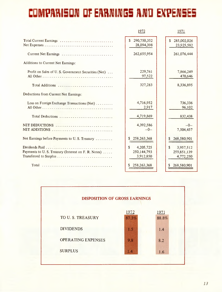# **COMPARISON OF EARNINGS AND EXPENSES**

|                                                                              | 1972                                       | 1971                                        |
|------------------------------------------------------------------------------|--------------------------------------------|---------------------------------------------|
| Total Current Earnings                                                       | 290,750,352<br>28,094,398                  | 285,002,026<br>$\mathbf{s}$<br>23,925,582   |
| Current Net Earnings                                                         | 262,655,954                                | 261,076,444                                 |
| Additions to Current Net Earnings:                                           |                                            |                                             |
| Profit on Sales of U.S. Government Securities (Net)                          | 229,761<br>97,522                          | 7,866,249<br>470,646                        |
| Total Additions                                                              | 327,283                                    | 8,336,895                                   |
| Deductions from Current Net Earnings:                                        |                                            |                                             |
| Loss on Foreign Exchange Transactions (Net)                                  | 4,716,952<br>2,917                         | 736,336<br>96,102                           |
| Total Deductions                                                             | 4,719,869                                  | 832,438                                     |
| NET DEDUCTIONS<br>NET ADDITIONS                                              | 4,392,586<br>$-0-$                         | $-0-$<br>7,504,457                          |
| Net Earnings before Payments to U.S. Treasury                                | 258, 263, 368<br>S                         | 268,580,901<br>S.                           |
| Payments to U.S. Treasury (Interest on F.R. Notes)<br>Transferred to Surplus | S<br>4,205,725<br>250,144,793<br>3,912,850 | S.<br>3,957,512<br>259,851,139<br>4,772,250 |
|                                                                              | 258, 263, 368                              | 268,580,901                                 |

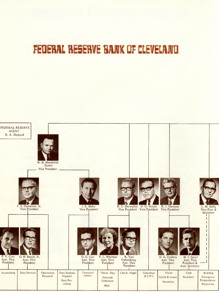# ~EDERIlL**RESERVE BIlIX DFC VELIlIlD**

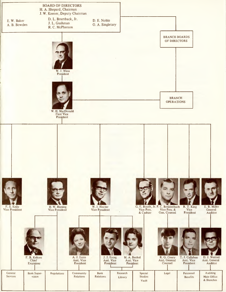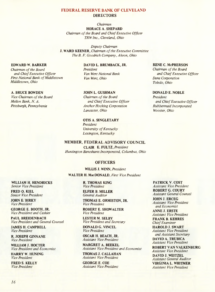### FEDERAL RESERVE BANK OF CLEVELAND **DIRECTORS**

### *Chairman* HORACE A. SHEPARD

*Chairman of the Board and Chief Executive Officer TRW Inc., Cleveland, Ohio*

*Deputy Chairman* J. WARD KEENER, *Chairman of the Executive Committee The B. F Goodrich Company, Akron, Ohio*

### EDWARD W. BARKER

*Chairman of the Board and Chief Executive Officer First National Bank of Middletown Middletown, Ohio*

### A. BRUCE BOWDEN

*Vice Chairman of the Board Mellon Bank, N. A. Pittsburgh, Pennsylvania*

### DAVID L. BRUMBACK, JR.

*President Van Wert National Bank Van Wert, Ohio*

### JOHN L. GUSHMAN

*Chairman of the Board and Chief Executive Officer Anchor Hocking Corporation Lancaster, Ohio*

### OTIS A. SINGLETARY *President University of Kentucky*

*Lexington, Kentucky*

### MEMBER, FEDERAL ADVISORY COUNCIL

CLAIR E. FULTZ, *President Huntington Bancshares Incorporated, Columbus, Ohio*

### **OFFICERS**

### WILLIS J. WINN, *President*

### WALTER H. MacDONALD, *First Vice President*

R. THOMAS KING *Vice President*

ELFER B. MILLER *General Auditor*

THOMAS E. ORMISTON, JR. *Vice President*

ROBERT E. SHOWALTER *Vice President*

LESTER M. SELBY *Vice President and Secretary*

DONALD G. VINCEL *Vice President*

OSCAR H. BEACH, JR. *Assistant Vice President*

MARGRET A. BEEKEL *Assistant Vice President and Economist*

THOMAS J. CALLAHAN *Assistant Vice President*

GEORGE E. COE *Assistant Vice President*

### RENE C. McPHERSON

*Chairman of the Board and Chief Executive Officer Dana Corporation Toledo, Ohio*

### DONALD E. NOBLE

*President and Chief Executive Officer Rubbermaid Incorporated Wooster, Ohio*

PATRICK V. COST *Assistant Vice President* ROBERT G. COURY *Assistant General Counsel*

JOHN J. ERCEG *Assistant Vice President and Economist*

ANNE J. ERSTE *Assistant Vice President* FRANK B. KEHRES

*Chief Examiner* HAROLD J. SWART *Assistant Vice President and Assistant Secretary* DAVID A. TRUBICA *Assistant Vice President*

ROBERT VAN VALKENBURG *Assistant Vice President* DAVID J. WEITZEL *Assistant General Auditor* VIRGINIA L. WHITMER *Assistant Vice President*

WILLIAM H. HENDRICKS *Senior Vice President*

FRED O. KIEL *Senior Vice President*

JOHN E. BIRKY *Vice President*

GEORGE E. BOOTH, JR. *Vice President and Cashier*

PAUL BREIDENBACH *Vice President and General Counsel*

JAMES H. CAMPBELL *Vice President*

R. JOSEPH GINNANE *Vice President*

WILLIAM J. HOCTER *Vice President and Economist*

HARRY W. HUNING *Vice President*

FRED S. KELLY *Vice President*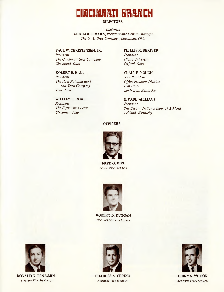## **NCINNATI BRANCH**

### **DIRECTORS**

*Chairman* **GRAHAM E. MARX,** *President and General Manager The* G. *A. Gray Company, Cincinnati, Ohio*

**PAUL W. CHRISTENSEN, JR.** *President The Cincinnati Gear Company Cincinnati, Ohio*

**ROBERT E. HALL** *President The First National Bank and Trust Company Troy, Ohio*

**WILLIAM S. ROWE** *President The Fifth Third Bank Cincinnat, Ohio*

**PHILLIP R. SHRIVER,** *President Miami University Oxford, Ohio*

**CLAIR F. VOUGH** *Vice President Office Products Division IBM Corp. Lexington, Kentucky*

E. **PAUL WILLIAMS** *President The Second National Bank of Ashland Ashland, Kentucky*

### **OFFICERS**



**FREDO. KIEL** *Senior Vice President*



**ROBERT D. DUGGAN** *Vice President and Cashier*



**DONALD G. BENJAMIN** *Assistant Vice President*



**CHARLES A. CERINO** *Assistant Vice President*



**JERRY S. WILSON** *Assistant Vice President*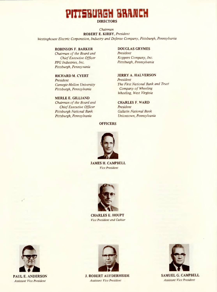# **5BUR&H BRRICH**

### **DIRECTORS**

*Chairman* **ROBERT E. KIRBY,** *President Westinghouse Electric Corporation, Industry and Defense Company, Pittsburgh, Pennsylvania*

### **ROBINSON F. BARKER**

*Chairman of the Board and Chief Executive Officer PPG Industries, Inc. Pittsburgh, Pennsyvania*

**RICHARD M. CYERT** *President Carnegie-Mellon University Pittsburgh, Pennsylvania*

### **MERLE E. GILLIAND**

*Chairman of the Board and Chief Executive Officer Pittsburgh National Bank Pittsburgh, Pennsylvania*

### **DOUGLAS GRYMES**

*President Koppers Company, Inc. Pittsburgh, Pennsylvania*

**JERRY A. HALVERSON** *President The First National Bank and Trust Company of Wheeling Wheeling, West Virginia*

### **CHARLES F. WARD** *President Gallatin National Bank Uniontown, Pennsylvania*

### **OFFICERS**



**JAMES H. CAMPBELL** *Vice President*



**CHARLES E. HOUPT** *Vice President and Cashier*



**PAUL E. ANDERSON** *Assistant Vice President*



*Assistant Vice President Assistant Vice President*



J. **ROBERT AUFDERHEIDE SAMUEL** G. **CAMPBELL**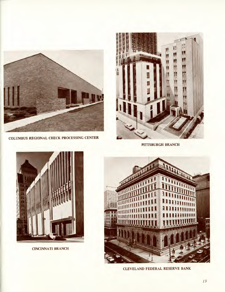

COLUMBUS REGIONAL CHECK PROCESSING CENTER



PITTSBURGH BRANCH



CINCINNATI BRANCH



CLEVELAND FEDERAL RESERVE BANK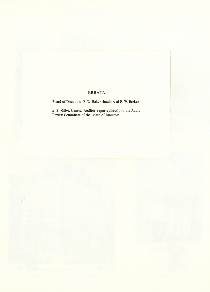### **ERRATA**

Board of Directors: E. W. Baker should read E. W. Barker

E. B. Miller, General Auditor, reports directly to the Audit Review Committee of the Board of Directors.

f